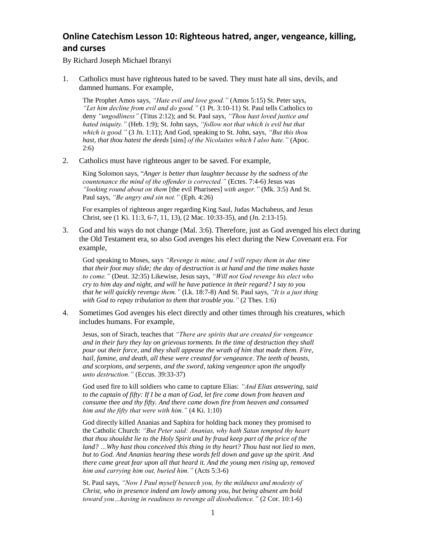## **Online Catechism Lesson 10: Righteous hatred, anger, vengeance, killing, and curses**

By Richard Joseph Michael Ibranyi

1. Catholics must have righteous hated to be saved. They must hate all sins, devils, and damned humans. For example,

The Prophet Amos says, *"Hate evil and love good."* (Amos 5:15) St. Peter says, *"Let him decline from evil and do good."* (1 Pt. 3:10-11) St. Paul tells Catholics to deny *"ungodliness"* (Titus 2:12); and St. Paul says, *"Thou hast loved justice and hated iniquity."* (Heb. 1:9); St. John says, *"follow not that which is evil but that which is good."* (3 Jn. 1:11); And God, speaking to St. John, says, *"But this thou hast, that thou hatest the deeds* [sins] *of the Nicolaites which I also hate."* (Apoc. 2:6)

2. Catholics must have righteous anger to be saved. For example,

King Solomon says, "*Anger is better than laughter because by the sadness of the countenance the mind of the offender is corrected."* (Ectes. 7:4-6) Jesus was *"looking round about on them* [the evil Pharisees] *with anger."* (Mk. 3:5) And St. Paul says, *"Be angry and sin not."* (Eph. 4:26)

For examples of righteous anger regarding King Saul, Judas Machabeus, and Jesus Christ, see (1 Ki. 11:3, 6-7, 11, 13), (2 Mac. 10:33-35), and (Jn. 2:13-15).

3. God and his ways do not change (Mal. 3:6). Therefore, just as God avenged his elect during the Old Testament era, so also God avenges his elect during the New Covenant era. For example,

God speaking to Moses, says *"Revenge is mine, and I will repay them in due time that their foot may slide; the day of destruction is at hand and the time makes haste to come."* (Deut. 32:35) Likewise, Jesus says, *"Will not God revenge his elect who cry to him day and night, and will he have patience in their regard? I say to you that he will quickly revenge them."* (Lk. 18:7-8) And St. Paul says, *"It is a just thing with God to repay tribulation to them that trouble you."* (2 Thes. 1:6)

4. Sometimes God avenges his elect directly and other times through his creatures, which includes humans. For example,

Jesus, son of Sirach, teaches that *"There are spirits that are created for vengeance and in their fury they lay on grievous torments. In the time of destruction they shall pour out their force, and they shall appease the wrath of him that made them. Fire, hail, famine, and death, all these were created for vengeance. The teeth of beasts, and scorpions, and serpents, and the sword, taking vengeance upon the ungodly unto destruction."* (Eccus. 39:33-37)

God used fire to kill soldiers who came to capture Elias: *"And Elias answering, said to the captain of fifty: If I be a man of God, let fire come down from heaven and consume thee and thy fifty. And there came down fire from heaven and consumed him and the fifty that were with him."* (4 Ki. 1:10)

God directly killed Ananias and Saphira for holding back money they promised to the Catholic Church: *"But Peter said: Ananias, why hath Satan tempted thy heart that thou shouldst lie to the Holy Spirit and by fraud keep part of the price of the land? …Why hast thou conceived this thing in thy heart? Thou hast not lied to men, but to God. And Ananias hearing these words fell down and gave up the spirit. And there came great fear upon all that heard it. And the young men rising up, removed him and carrying him out, buried him."* (Acts 5:3-6)

St. Paul says, *"Now I Paul myself beseech you, by the mildness and modesty of Christ, who in presence indeed am lowly among you, but being absent am bold toward you…having in readiness to revenge all disobedience."* (2 Cor. 10:1-6)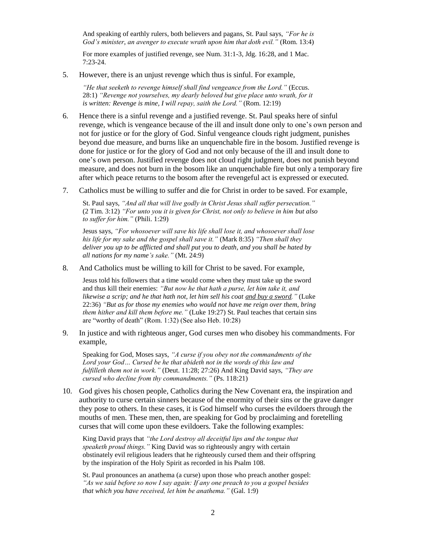And speaking of earthly rulers, both believers and pagans, St. Paul says, *"For he is God's minister, an avenger to execute wrath upon him that doth evil."* (Rom. 13:4)

For more examples of justified revenge, see Num. 31:1-3, Jdg. 16:28, and 1 Mac. 7:23-24.

5. However, there is an unjust revenge which thus is sinful. For example,

*"He that seeketh to revenge himself shall find vengeance from the Lord."* (Eccus. 28:1) *"Revenge not yourselves, my dearly beloved but give place unto wrath, for it is written: Revenge is mine, I will repay, saith the Lord."* (Rom. 12:19)

- 6. Hence there is a sinful revenge and a justified revenge. St. Paul speaks here of sinful revenge, which is vengeance because of the ill and insult done only to one's own person and not for justice or for the glory of God. Sinful vengeance clouds right judgment, punishes beyond due measure, and burns like an unquenchable fire in the bosom. Justified revenge is done for justice or for the glory of God and not only because of the ill and insult done to one's own person. Justified revenge does not cloud right judgment, does not punish beyond measure, and does not burn in the bosom like an unquenchable fire but only a temporary fire after which peace returns to the bosom after the revengeful act is expressed or executed.
- 7. Catholics must be willing to suffer and die for Christ in order to be saved. For example,

St. Paul says, *"And all that will live godly in Christ Jesus shall suffer persecution."* (2 Tim. 3:12) *"For unto you it is given for Christ, not only to believe in him but also to suffer for him."* (Phili. 1:29)

Jesus says, *"For whosoever will save his life shall lose it, and whosoever shall lose his life for my sake and the gospel shall save it."* (Mark 8:35) *"Then shall they deliver you up to be afflicted and shall put you to death, and you shall be hated by all nations for my name's sake."* (Mt. 24:9)

8. And Catholics must be willing to kill for Christ to be saved. For example,

Jesus told his followers that a time would come when they must take up the sword and thus kill their enemies: *"But now he that hath a purse, let him take it, and likewise a scrip; and he that hath not, let him sell his coat and buy a sword."* (Luke 22:36) *"But as for those my enemies who would not have me reign over them, bring them hither and kill them before me."* (Luke 19:27) St. Paul teaches that certain sins are "worthy of death" (Rom. 1:32) (See also Heb. 10:28)

9. In justice and with righteous anger, God curses men who disobey his commandments. For example,

Speaking for God, Moses says, *"A curse if you obey not the commandments of the Lord your God… Cursed be he that abideth not in the words of this law and fulfilleth them not in work."* (Deut. 11:28; 27:26) And King David says, *"They are cursed who decline from thy commandments."* (Ps. 118:21)

10. God gives his chosen people, Catholics during the New Covenant era, the inspiration and authority to curse certain sinners because of the enormity of their sins or the grave danger they pose to others. In these cases, it is God himself who curses the evildoers through the mouths of men. These men, then, are speaking for God by proclaiming and foretelling curses that will come upon these evildoers. Take the following examples:

King David prays that *"the Lord destroy all deceitful lips and the tongue that speaketh proud things."* King David was so righteously angry with certain obstinately evil religious leaders that he righteously cursed them and their offspring by the inspiration of the Holy Spirit as recorded in his Psalm 108.

St. Paul pronounces an anathema (a curse) upon those who preach another gospel: *"As we said before so now I say again: If any one preach to you a gospel besides that which you have received, let him be anathema."* (Gal. 1:9)